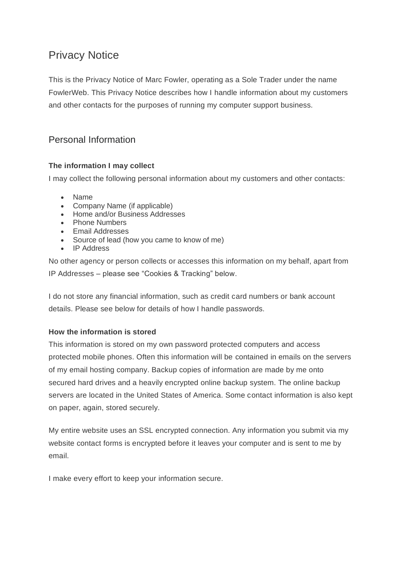# Privacy Notice

This is the Privacy Notice of Marc Fowler, operating as a Sole Trader under the name FowlerWeb. This Privacy Notice describes how I handle information about my customers and other contacts for the purposes of running my computer support business.

# Personal Information

#### **The information I may collect**

I may collect the following personal information about my customers and other contacts:

- Name
- Company Name (if applicable)
- Home and/or Business Addresses
- Phone Numbers
- Email Addresses
- Source of lead (how you came to know of me)
- IP Address

No other agency or person collects or accesses this information on my behalf, apart from IP Addresses – please see "Cookies & Tracking" below.

I do not store any financial information, such as credit card numbers or bank account details. Please see below for details of how I handle passwords.

#### **How the information is stored**

This information is stored on my own password protected computers and access protected mobile phones. Often this information will be contained in emails on the servers of my email hosting company. Backup copies of information are made by me onto secured hard drives and a heavily encrypted online backup system. The online backup servers are located in the United States of America. Some contact information is also kept on paper, again, stored securely.

My entire website uses an SSL encrypted connection. Any information you submit via my website contact forms is encrypted before it leaves your computer and is sent to me by email.

I make every effort to keep your information secure.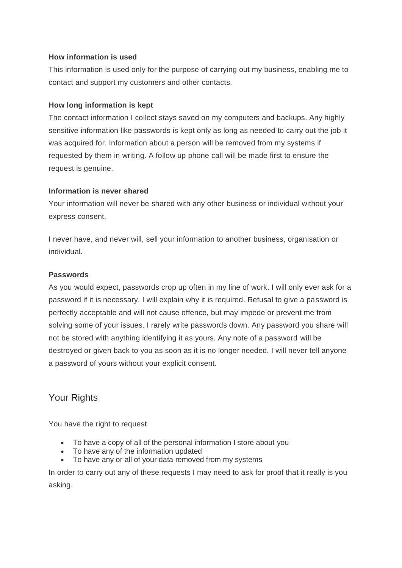#### **How information is used**

This information is used only for the purpose of carrying out my business, enabling me to contact and support my customers and other contacts.

#### **How long information is kept**

The contact information I collect stays saved on my computers and backups. Any highly sensitive information like passwords is kept only as long as needed to carry out the job it was acquired for. Information about a person will be removed from my systems if requested by them in writing. A follow up phone call will be made first to ensure the request is genuine.

#### **Information is never shared**

Your information will never be shared with any other business or individual without your express consent.

I never have, and never will, sell your information to another business, organisation or individual.

#### **Passwords**

As you would expect, passwords crop up often in my line of work. I will only ever ask for a password if it is necessary. I will explain why it is required. Refusal to give a password is perfectly acceptable and will not cause offence, but may impede or prevent me from solving some of your issues. I rarely write passwords down. Any password you share will not be stored with anything identifying it as yours. Any note of a password will be destroyed or given back to you as soon as it is no longer needed. I will never tell anyone a password of yours without your explicit consent.

# Your Rights

You have the right to request

- To have a copy of all of the personal information I store about you
- To have any of the information updated
- To have any or all of your data removed from my systems

In order to carry out any of these requests I may need to ask for proof that it really is you asking.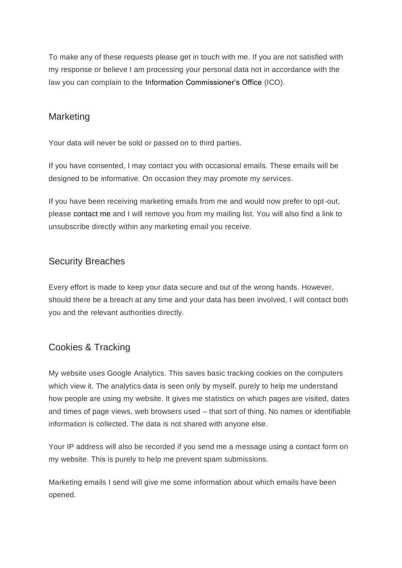To make any of these requests please get in touch with me. If you are not satisfied with my response or believe I am processing your personal data not in accordance with the law you can complain to the Information Commissioner's Office (ICO).

### **Marketing**

Your data will never be sold or passed on to third parties.

If you have consented, I may contact you with occasional emails. These emails will be designed to be informative. On occasion they may promote my services.

If you have been receiving marketing emails from me and would now prefer to opt-out, please contact me and I will remove you from my mailing list. You will also find a link to unsubscribe directly within any marketing email you receive.

# Security Breaches

Every effort is made to keep your data secure and out of the wrong hands. However, should there be a breach at any time and your data has been involved, I will contact both you and the relevant authorities directly.

# Cookies & Tracking

My website uses Google Analytics. This saves basic tracking cookies on the computers which view it. The analytics data is seen only by myself, purely to help me understand how people are using my website. It gives me statistics on which pages are visited, dates and times of page views, web browsers used – that sort of thing. No names or identifiable information is collected. The data is not shared with anyone else.

Your IP address will also be recorded if you send me a message using a contact form on my website. This is purely to help me prevent spam submissions.

Marketing emails I send will give me some information about which emails have been opened.